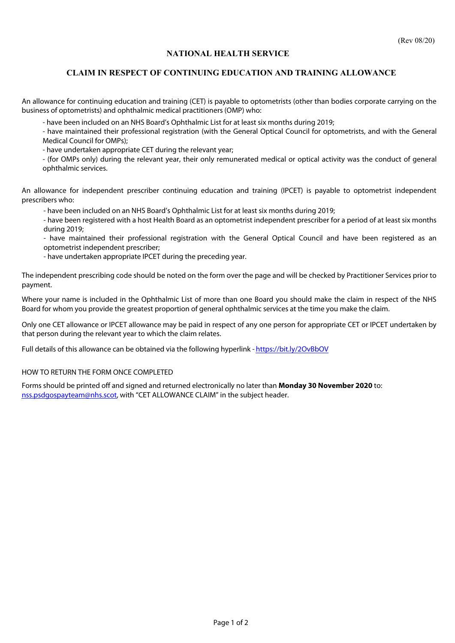## **NATIONAL HEALTH SERVICE**

### **CLAIM IN RESPECT OF CONTINUING EDUCATION AND TRAINING ALLOWANCE**

An allowance for continuing education and training (CET) is payable to optometrists (other than bodies corporate carrying on the business of optometrists) and ophthalmic medical practitioners (OMP) who:

- have been included on an NHS Board's Ophthalmic List for at least six months during 2019;

- have maintained their professional registration (with the General Optical Council for optometrists, and with the General Medical Council for OMPs);

- have undertaken appropriate CET during the relevant year;

- (for OMPs only) during the relevant year, their only remunerated medical or optical activity was the conduct of general ophthalmic services.

An allowance for independent prescriber continuing education and training (IPCET) is payable to optometrist independent prescribers who:

- have been included on an NHS Board's Ophthalmic List for at least six months during 2019;

- have been registered with a host Health Board as an optometrist independent prescriber for a period of at least six months during 2019;

- have maintained their professional registration with the General Optical Council and have been registered as an optometrist independent prescriber;

- have undertaken appropriate IPCET during the preceding year.

The independent prescribing code should be noted on the form over the page and will be checked by Practitioner Services prior to payment.

Where your name is included in the Ophthalmic List of more than one Board you should make the claim in respect of the NHS Board for whom you provide the greatest proportion of general ophthalmic services at the time you make the claim.

Only one CET allowance or IPCET allowance may be paid in respect of any one person for appropriate CET or IPCET undertaken by that person during the relevant year to which the claim relates.

Full details of this allowance can be obtained via the following hyperlink - <https://bit.ly/2OvBbOV>

#### HOW TO RETURN THE FORM ONCE COMPLETED

Forms should be printed off and signed and returned electronically no later than **Monday 30 November 2020** to: [nss.psdgospayteam@nhs.scot,](mailto:nss.psdgospayteam@nhs.scot?subject=CET%20ALLOWANCE%20CLAIM) with "CET ALLOWANCE CLAIM" in the subject header.